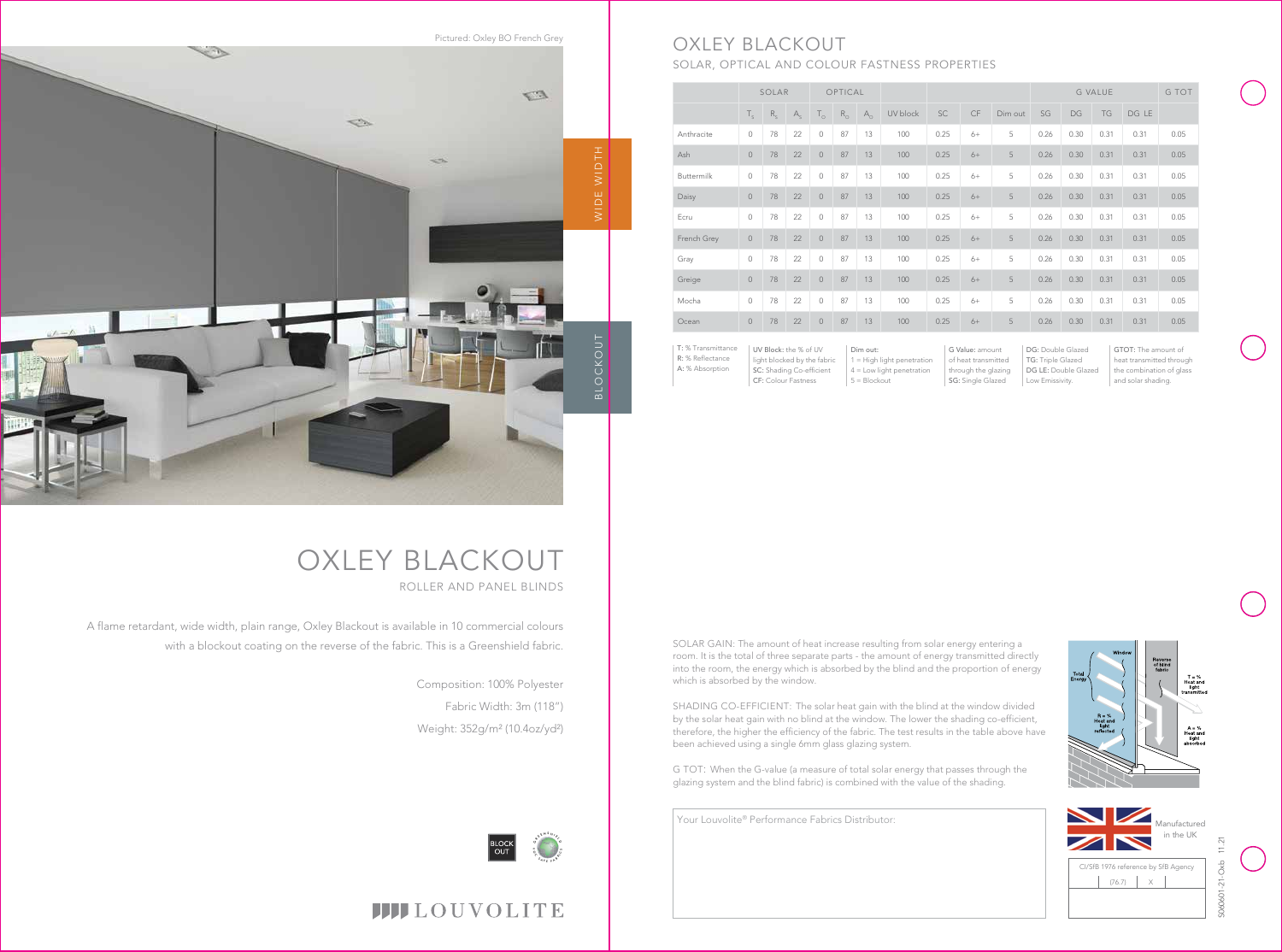OXLEY BLACKOUT ROLLER AND PANEL BLINDS

A flame retardant, wide width, plain range, Oxley Blackout is available in 10 commercial colours with a blockout coating on the reverse of the fabric. This is a Greenshield fabric.

> Composition: 100% Polyester Fabric Width: 3m (118") Weight: 352g/m² (10.4oz/yd²)

 $4 =$  Low light penetration 5 = Blockout







through the glazing | DG LE: Double Glazed | the combination of glass and solar shading.



# SOLAR, OPTICAL AND COLOUR FASTNESS PROPERTIES

|                                                           | SOLAR                                                                            |                            |         | OPTICAL        |             |                                                                         |          |      |                                                               |         |                                                                | <b>G VALUE</b> |      |                                                                             |      |
|-----------------------------------------------------------|----------------------------------------------------------------------------------|----------------------------|---------|----------------|-------------|-------------------------------------------------------------------------|----------|------|---------------------------------------------------------------|---------|----------------------------------------------------------------|----------------|------|-----------------------------------------------------------------------------|------|
|                                                           | $T_{\rm s}$                                                                      | $\mathsf{R}_{_\mathsf{S}}$ | $A_{s}$ | $T_{\circ}$    | $R_{\odot}$ | $A_{\circ}$                                                             | UV block | SC   | CF                                                            | Dim out | SG                                                             | DG             | TG   | DG LE                                                                       |      |
| Anthracite                                                | $\circ$                                                                          | 78                         | 22      | $\circ$        | 87          | 13                                                                      | 100      | 0.25 | $6+$                                                          | 5       | 0.26                                                           | 0.30           | 0.31 | 0.31                                                                        | 0.05 |
| Ash                                                       | $\circ$                                                                          | 78                         | 22      | $\circ$        | 87          | 13                                                                      | 100      | 0.25 | $6+$                                                          | 5       | 0.26                                                           | 0.30           | 0.31 | 0.31                                                                        | 0.05 |
| Buttermilk                                                | $\circ$                                                                          | 78                         | 22      | $\circ$        | 87          | 13                                                                      | 100      | 0.25 | $6+$                                                          | 5       | 0.26                                                           | 0.30           | 0.31 | 0.31                                                                        | 0.05 |
| Daisy                                                     | $\mathsf{O}\xspace$                                                              | 78                         | 22      | $\overline{0}$ | 87          | 13                                                                      | 100      | 0.25 | $6+$                                                          | 5       | 0.26                                                           | 0.30           | 0.31 | 0.31                                                                        | 0.05 |
| Ecru                                                      | $\circ$                                                                          | 78                         | 22      | $\circ$        | 87          | 13                                                                      | 100      | 0.25 | $6+$                                                          | 5       | 0.26                                                           | 0.30           | 0.31 | 0.31                                                                        | 0.05 |
| French Grey                                               | $\circ$                                                                          | 78                         | 22      | $\circ$        | 87          | 13                                                                      | 100      | 0.25 | $6+$                                                          | 5       | 0.26                                                           | 0.30           | 0.31 | 0.31                                                                        | 0.05 |
| Gray                                                      | $\circ$                                                                          | 78                         | 22      | $\mathbf 0$    | 87          | 13                                                                      | 100      | 0.25 | $6+$                                                          | 5       | 0.26                                                           | 0.30           | 0.31 | 0.31                                                                        | 0.05 |
| Greige                                                    | $\mathbf 0$                                                                      | 78                         | 22      | $\circ$        | 87          | 13                                                                      | 100      | 0.25 | $6+$                                                          | 5       | 0.26                                                           | 0.30           | 0.31 | 0.31                                                                        | 0.05 |
| Mocha                                                     | $\Omega$                                                                         | 78                         | 22      | $\Omega$       | 87          | 13                                                                      | 100      | 0.25 | $6+$                                                          | 5       | 0.26                                                           | 0.30           | 0.31 | 0.31                                                                        | 0.05 |
| Ocean                                                     | $\mathbf 0$                                                                      | 78                         | 22      | $\overline{0}$ | 87          | 13                                                                      | 100      | 0.25 | $6+$                                                          | 5       | 0.26                                                           | 0.30           | 0.31 | 0.31                                                                        | 0.05 |
| T: % Transmittance<br>R: % Reflectance<br>A: % Absorption | UV Block: the % of UV<br>light blocked by the fabric<br>SC: Shading Co-efficient |                            |         |                |             | Dim out:<br>$1 =$ High light penetration<br>$4 =$ Low light penetration |          |      | G Value: amount<br>of heat transmitted<br>through the glazing |         | DG: Double Glazed<br>TG: Triple Glazed<br>DG LE: Double Glazed |                |      | GTOT: The amount of<br>heat transmitted through<br>the combination of glass |      |

SG: Single Glazed

SOLAR GAIN: The amount of heat increase resulting from solar energy entering a room. It is the total of three separate parts - the amount of energy transmitted directly into the room, the energy which is absorbed by the blind and the proportion of energy which is absorbed by the window.

SHADING CO-EFFICIENT: The solar heat gain with the blind at the window divided by the solar heat gain with no blind at the window. The lower the shading co-efficient, therefore, the higher the efficiency of the fabric. The test results in the table above have been achieved using a single 6mm glass glazing system.

G TOT: When the G-value (a measure of total solar energy that passes through the glazing system and the blind fabric) is combined with the value of the shading.

CF: Colour Fastness

Low Emissivity.



### **IIII**LOUVOLITE